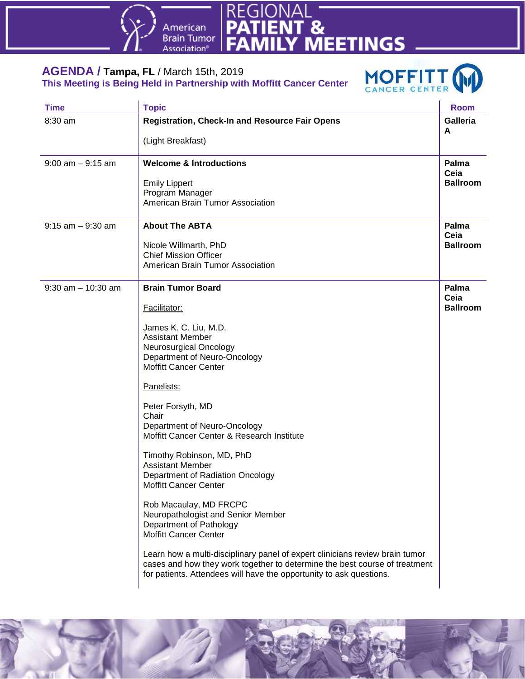



### **AGENDA / Tampa, FL** / March 15th, 2019 **This Meeting is Being Held in Partnership with Moffitt Cancer Center**



| <b>Time</b>           | <b>Topic</b>                                                                                                                                                                                                                      | <b>Room</b>          |
|-----------------------|-----------------------------------------------------------------------------------------------------------------------------------------------------------------------------------------------------------------------------------|----------------------|
| $8:30$ am             | <b>Registration, Check-In and Resource Fair Opens</b>                                                                                                                                                                             | <b>Galleria</b><br>A |
|                       | (Light Breakfast)                                                                                                                                                                                                                 |                      |
| $9:00$ am $-9:15$ am  | <b>Welcome &amp; Introductions</b>                                                                                                                                                                                                | Palma<br>Ceia        |
|                       | <b>Emily Lippert</b>                                                                                                                                                                                                              | <b>Ballroom</b>      |
|                       | Program Manager                                                                                                                                                                                                                   |                      |
|                       | American Brain Tumor Association                                                                                                                                                                                                  |                      |
| $9:15$ am $-9:30$ am  | <b>About The ABTA</b>                                                                                                                                                                                                             | Palma<br>Ceia        |
|                       | Nicole Willmarth, PhD                                                                                                                                                                                                             | <b>Ballroom</b>      |
|                       | <b>Chief Mission Officer</b>                                                                                                                                                                                                      |                      |
|                       | American Brain Tumor Association                                                                                                                                                                                                  |                      |
| $9:30$ am $-10:30$ am | <b>Brain Tumor Board</b>                                                                                                                                                                                                          | Palma<br>Ceia        |
|                       | Facilitator:                                                                                                                                                                                                                      | <b>Ballroom</b>      |
|                       | James K. C. Liu, M.D.                                                                                                                                                                                                             |                      |
|                       | <b>Assistant Member</b>                                                                                                                                                                                                           |                      |
|                       | Neurosurgical Oncology                                                                                                                                                                                                            |                      |
|                       | Department of Neuro-Oncology                                                                                                                                                                                                      |                      |
|                       | <b>Moffitt Cancer Center</b>                                                                                                                                                                                                      |                      |
|                       | Panelists:                                                                                                                                                                                                                        |                      |
|                       | Peter Forsyth, MD                                                                                                                                                                                                                 |                      |
|                       | Chair                                                                                                                                                                                                                             |                      |
|                       | Department of Neuro-Oncology                                                                                                                                                                                                      |                      |
|                       | Moffitt Cancer Center & Research Institute                                                                                                                                                                                        |                      |
|                       | Timothy Robinson, MD, PhD                                                                                                                                                                                                         |                      |
|                       | <b>Assistant Member</b>                                                                                                                                                                                                           |                      |
|                       | Department of Radiation Oncology                                                                                                                                                                                                  |                      |
|                       | Moffitt Cancer Center                                                                                                                                                                                                             |                      |
|                       | Rob Macaulay, MD FRCPC                                                                                                                                                                                                            |                      |
|                       | Neuropathologist and Senior Member                                                                                                                                                                                                |                      |
|                       | Department of Pathology                                                                                                                                                                                                           |                      |
|                       | <b>Moffitt Cancer Center</b>                                                                                                                                                                                                      |                      |
|                       | Learn how a multi-disciplinary panel of expert clinicians review brain tumor<br>cases and how they work together to determine the best course of treatment<br>for patients. Attendees will have the opportunity to ask questions. |                      |
|                       |                                                                                                                                                                                                                                   |                      |

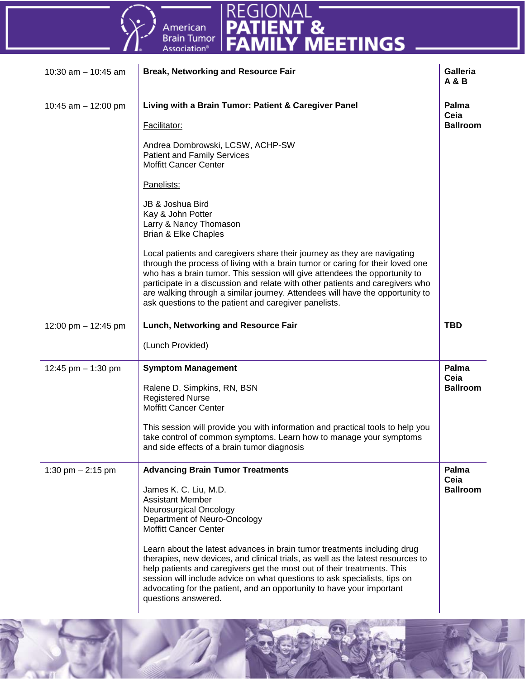

| 10:30 am $-$ 10:45 am | <b>Break, Networking and Resource Fair</b>                                                                                                                                                                                                                                                                                                                                                                                                                          | <b>Galleria</b><br>A & B         |
|-----------------------|---------------------------------------------------------------------------------------------------------------------------------------------------------------------------------------------------------------------------------------------------------------------------------------------------------------------------------------------------------------------------------------------------------------------------------------------------------------------|----------------------------------|
| 10:45 am $-$ 12:00 pm | Living with a Brain Tumor: Patient & Caregiver Panel                                                                                                                                                                                                                                                                                                                                                                                                                | Palma<br>Ceia                    |
|                       | Facilitator:                                                                                                                                                                                                                                                                                                                                                                                                                                                        | <b>Ballroom</b>                  |
|                       | Andrea Dombrowski, LCSW, ACHP-SW<br><b>Patient and Family Services</b><br><b>Moffitt Cancer Center</b>                                                                                                                                                                                                                                                                                                                                                              |                                  |
|                       | Panelists:                                                                                                                                                                                                                                                                                                                                                                                                                                                          |                                  |
|                       | JB & Joshua Bird<br>Kay & John Potter<br>Larry & Nancy Thomason<br><b>Brian &amp; Elke Chaples</b>                                                                                                                                                                                                                                                                                                                                                                  |                                  |
|                       | Local patients and caregivers share their journey as they are navigating<br>through the process of living with a brain tumor or caring for their loved one<br>who has a brain tumor. This session will give attendees the opportunity to<br>participate in a discussion and relate with other patients and caregivers who<br>are walking through a similar journey. Attendees will have the opportunity to<br>ask questions to the patient and caregiver panelists. |                                  |
| 12:00 pm - 12:45 pm   | Lunch, Networking and Resource Fair                                                                                                                                                                                                                                                                                                                                                                                                                                 | <b>TBD</b>                       |
|                       | (Lunch Provided)                                                                                                                                                                                                                                                                                                                                                                                                                                                    |                                  |
| 12:45 pm $-$ 1:30 pm  | <b>Symptom Management</b><br>Ralene D. Simpkins, RN, BSN                                                                                                                                                                                                                                                                                                                                                                                                            | Palma<br>Ceia<br><b>Ballroom</b> |
|                       | <b>Registered Nurse</b><br><b>Moffitt Cancer Center</b>                                                                                                                                                                                                                                                                                                                                                                                                             |                                  |
|                       | This session will provide you with information and practical tools to help you<br>take control of common symptoms. Learn how to manage your symptoms<br>and side effects of a brain tumor diagnosis                                                                                                                                                                                                                                                                 |                                  |
| 1:30 pm $- 2:15$ pm   | <b>Advancing Brain Tumor Treatments</b>                                                                                                                                                                                                                                                                                                                                                                                                                             | Palma<br>Ceia<br><b>Ballroom</b> |
|                       | James K. C. Liu, M.D.<br><b>Assistant Member</b><br>Neurosurgical Oncology<br>Department of Neuro-Oncology<br><b>Moffitt Cancer Center</b>                                                                                                                                                                                                                                                                                                                          |                                  |
|                       | Learn about the latest advances in brain tumor treatments including drug<br>therapies, new devices, and clinical trials, as well as the latest resources to<br>help patients and caregivers get the most out of their treatments. This<br>session will include advice on what questions to ask specialists, tips on<br>advocating for the patient, and an opportunity to have your important<br>questions answered.                                                 |                                  |

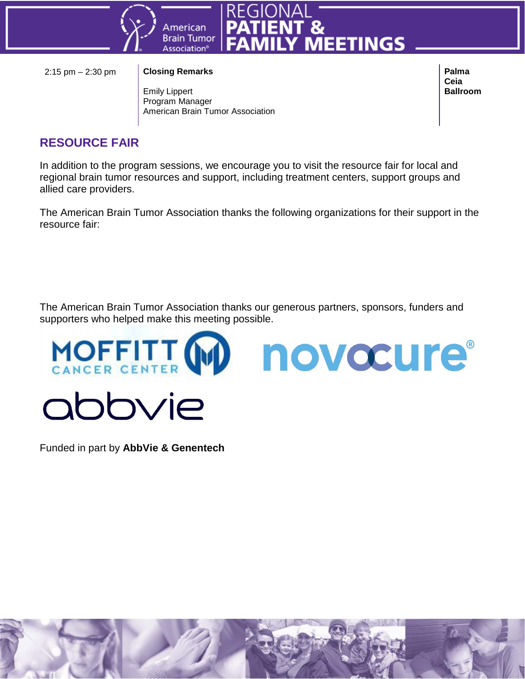



### 2:15 pm – 2:30 pm **Closing Remarks**

Emily Lippert Program Manager American Brain Tumor Association **Palma Ceia Ballroom**

### **RESOURCE FAIR**

In addition to the program sessions, we encourage you to visit the resource fair for local and regional brain tumor resources and support, including treatment centers, support groups and allied care providers.

The American Brain Tumor Association thanks the following organizations for their support in the resource fair:

The American Brain Tumor Association thanks our generous partners, sponsors, funders and supporters who helped make this meeting possible.

novocure®



Funded in part by **AbbVie & Genentech**

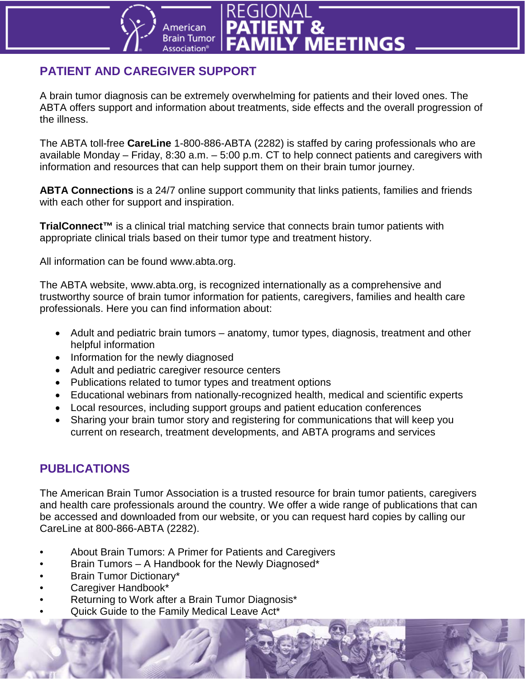### **PATIENT AND CAREGIVER SUPPORT**

**Imerican Brain Tumor** 

Association®

A brain tumor diagnosis can be extremely overwhelming for patients and their loved ones. The ABTA offers support and information about treatments, side effects and the overall progression of the illness.

Y MEETINGS

The ABTA toll-free **CareLine** 1-800-886-ABTA (2282) is staffed by caring professionals who are available Monday – Friday, 8:30 a.m. – 5:00 p.m. CT to help connect patients and caregivers with information and resources that can help support them on their brain tumor journey.

**ABTA Connections** is a 24/7 online support community that links patients, families and friends with each other for support and inspiration.

**TrialConnect™** is a clinical trial matching service that connects brain tumor patients with appropriate clinical trials based on their tumor type and treatment history.

All information can be found www.abta.org.

The ABTA website, www.abta.org, is recognized internationally as a comprehensive and trustworthy source of brain tumor information for patients, caregivers, families and health care professionals. Here you can find information about:

- Adult and pediatric brain tumors anatomy, tumor types, diagnosis, treatment and other helpful information
- Information for the newly diagnosed
- Adult and pediatric caregiver resource centers
- Publications related to tumor types and treatment options
- Educational webinars from nationally-recognized health, medical and scientific experts
- Local resources, including support groups and patient education conferences
- Sharing your brain tumor story and registering for communications that will keep you current on research, treatment developments, and ABTA programs and services

### **PUBLICATIONS**

The American Brain Tumor Association is a trusted resource for brain tumor patients, caregivers and health care professionals around the country. We offer a wide range of publications that can be accessed and downloaded from our website, or you can request hard copies by calling our CareLine at 800-866-ABTA (2282).

- About Brain Tumors: A Primer for Patients and Caregivers
- Brain Tumors A Handbook for the Newly Diagnosed\*
- Brain Tumor Dictionary\*
- Caregiver Handbook\*
- Returning to Work after a Brain Tumor Diagnosis\*
	- Quick Guide to the Family Medical Leave Act\*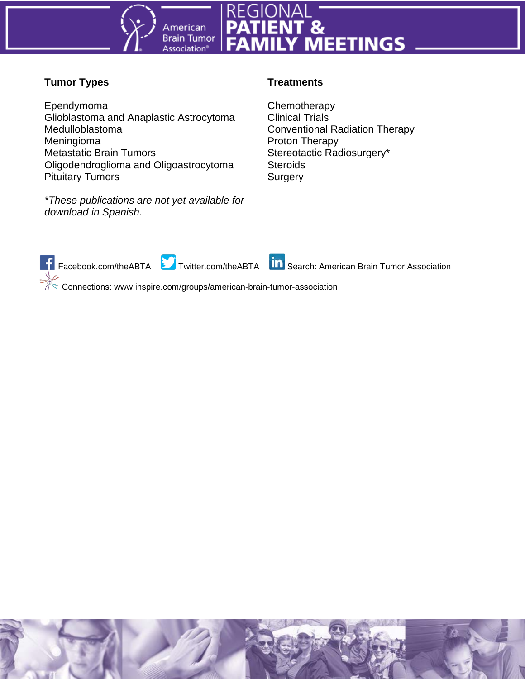

### **Tumor Types**

Ependymoma Glioblastoma and Anaplastic Astrocytoma Medulloblastoma Meningioma Metastatic Brain Tumors Oligodendroglioma and Oligoastrocytoma Pituitary Tumors

*\*These publications are not yet available for download in Spanish.*

### **Treatments**

**Chemotherapy** Clinical Trials Conventional Radiation Therapy Proton Therapy Stereotactic Radiosurgery\* **Steroids Surgery** 

F Facebook.com/theABTA Twitter.com/theABTA In Search: American Brain Tumor Association Connections: www.inspire.com/groups/american-brain-tumor-association